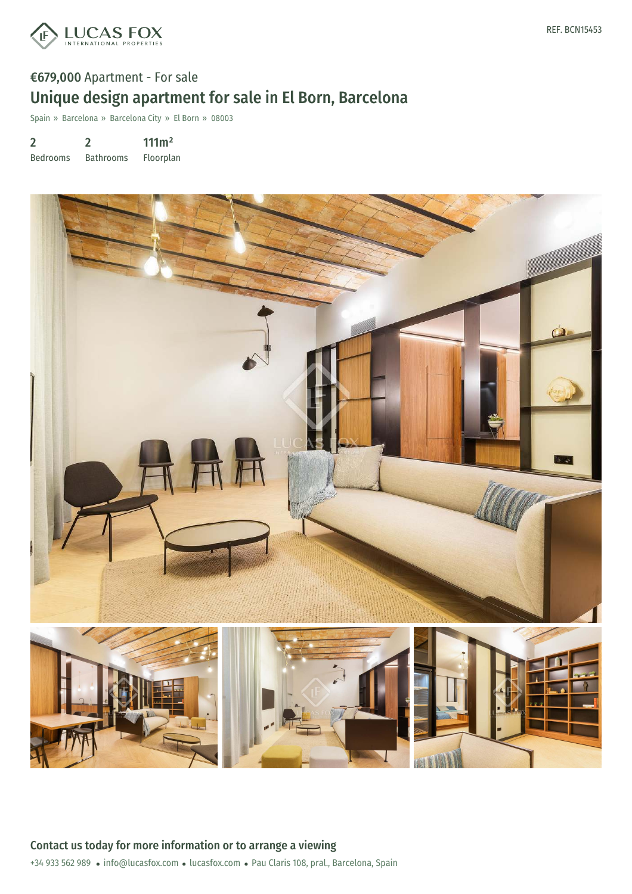

## €679,000 Apartment - For sale Unique design apartment for sale in El Born, Barcelona

Spain » Barcelona » Barcelona City » El Born » 08003

2 2 111m²

Bedrooms Bathrooms Floorplan

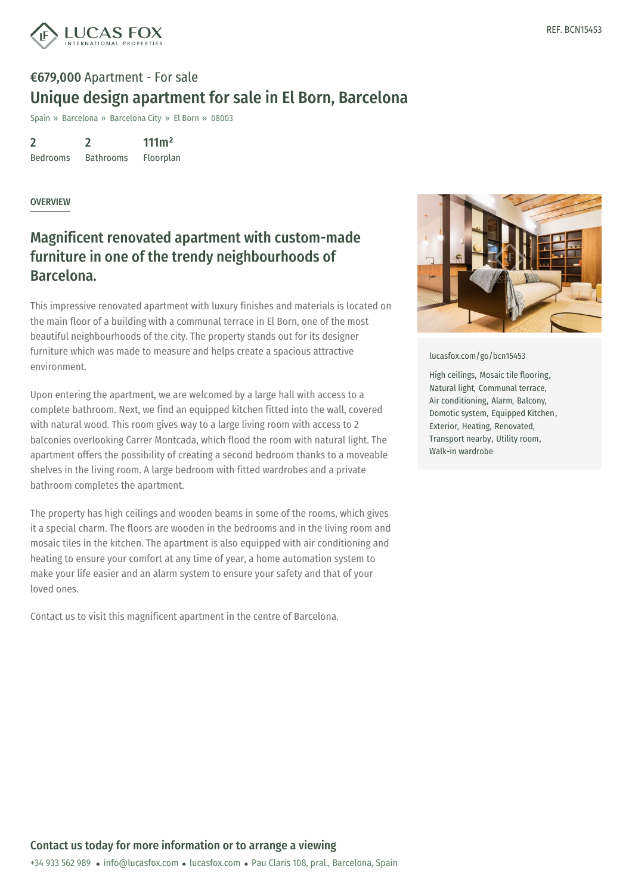

## €679,000 Apartment - For sale Unique design apartment for sale in El Born, Barcelona

Spain » Barcelona » Barcelona City » El Born » 08003

2 Bedrooms 2 Bathrooms 111m² Floorplan

OVERVIEW

## Magnificent renovated apartment with custom-made furniture in one of the trendy neighbourhoods of Barcelona.

This impressive renovated apartment with luxury finishes and materials is located on the main floor of a building with a communal terrace in El Born, one of the most beautiful neighbourhoods of the city. The property stands out for its designer furniture which was made to measure and helps create a spacious attractive environment.

Upon entering the apartment, we are welcomed by a large hall with access to a complete bathroom. Next, we find an equipped kitchen fitted into the wall, covered with natural wood. This room gives way to a large living room with access to 2 balconies overlooking Carrer Montcada, which flood the room with natural light. The apartment offers the possibility of creating a second bedroom thanks to a moveable shelves in the living room. A large bedroom with fitted wardrobes and a private bathroom completes the apartment.

The property has high ceilings and wooden beams in some of the rooms, which gives it a special charm. The floors are wooden in the bedrooms and in the living room and mosaic tiles in the kitchen. The apartment is also equipped with air conditioning and heating to ensure your comfort at any time of year, a home automation system to make your life easier and an alarm system to ensure your safety and that of your loved ones.

Contact us to visit this magnificent apartment in the centre of Barcelona.



[lucasfox.com/go/bcn15453](https://www.lucasfox.com/go/bcn15453)

High ceilings, Mosaic tile flooring, Natural light, Communal terrace, Air conditioning, Alarm, Balcony, Domotic system, Equipped Kitchen, Exterior, Heating, Renovated, Transport nearby, Utility room, Walk-in wardrobe